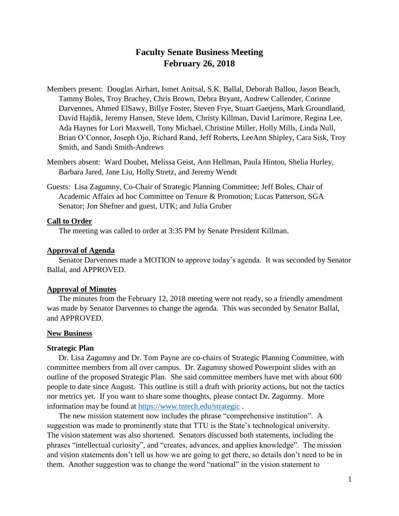# **Faculty Senate Business Meeting February 26, 2018**

- Members present: Douglas Airhart, Ismet Anitsal, S.K. Ballal, Deborah Ballou, Jason Beach, Tammy Boles, Troy Brachey, Chris Brown, Debra Bryant, Andrew Callender, Corinne Darvennes, Ahmed ElSawy, Billye Foster, Steven Frye, Stuart Gaetjens, Mark Groundland, David Hajdik, Jeremy Hansen, Steve Idem, Christy Killman, David Larimore, Regina Lee, Ada Haynes for Lori Maxwell, Tony Michael, Christine Miller, Holly Mills, Linda Null, Brian O'Connor, Joseph Ojo, Richard Rand, Jeff Roberts, LeeAnn Shipley, Cara Sisk, Troy Smith, and Sandi Smith-Andrews
- Members absent: Ward Doubet, Melissa Geist, Ann Hellman, Paula Hinton, Shelia Hurley, Barbara Jared, Jane Liu, Holly Stretz, and Jeremy Wendt
- Guests: Lisa Zagumny, Co-Chair of Strategic Planning Committee; Jeff Boles, Chair of Academic Affairs ad hoc Committee on Tenure & Promotion; Lucas Patterson, SGA Senator; Jon Shefner and guest, UTK; and Julia Gruber

## **Call to Order**

The meeting was called to order at 3:35 PM by Senate President Killman.

## **Approval of Agenda**

Senator Darvennes made a MOTION to approve today's agenda. It was seconded by Senator Ballal, and APPROVED.

#### **Approval of Minutes**

The minutes from the February 12, 2018 meeting were not ready, so a friendly amendment was made by Senator Darvennes to change the agenda. This was seconded by Senator Ballal, and APPROVED.

#### **New Business**

### **Strategic Plan**

Dr. Lisa Zagumny and Dr. Tom Payne are co-chairs of Strategic Planning Committee, with committee members from all over campus. Dr. Zagumny showed Powerpoint slides with an outline of the proposed Strategic Plan. She said committee members have met with about 600 people to date since August. This outline is still a draft with priority actions, but not the tactics nor metrics yet. If you want to share some thoughts, please contact Dr. Zagumny. More information may be found at<https://www.tntech.edu/strategic> .

The new mission statement now includes the phrase "comprehensive institution". A suggestion was made to prominently state that TTU is the State's technological university. The vision statement was also shortened. Senators discussed both statements, including the phrases "intellectual curiosity", and "creates, advances, and applies knowledge". The mission and vision statements don't tell us how we are going to get there, so details don't need to be in them. Another suggestion was to change the word "national" in the vision statement to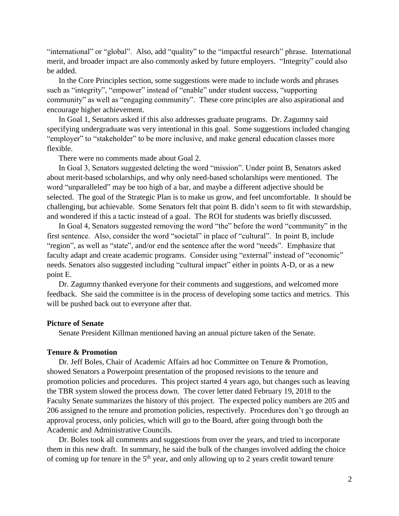"international" or "global". Also, add "quality" to the "impactful research" phrase. International merit, and broader impact are also commonly asked by future employers. "Integrity" could also be added.

In the Core Principles section, some suggestions were made to include words and phrases such as "integrity", "empower" instead of "enable" under student success, "supporting community" as well as "engaging community". These core principles are also aspirational and encourage higher achievement.

In Goal 1, Senators asked if this also addresses graduate programs. Dr. Zagumny said specifying undergraduate was very intentional in this goal. Some suggestions included changing "employer" to "stakeholder" to be more inclusive, and make general education classes more flexible.

There were no comments made about Goal 2.

In Goal 3, Senators suggested deleting the word "mission". Under point B, Senators asked about merit-based scholarships, and why only need-based scholarships were mentioned. The word "unparalleled" may be too high of a bar, and maybe a different adjective should be selected. The goal of the Strategic Plan is to make us grow, and feel uncomfortable. It should be challenging, but achievable. Some Senators felt that point B. didn't seem to fit with stewardship, and wondered if this a tactic instead of a goal. The ROI for students was briefly discussed.

In Goal 4, Senators suggested removing the word "the" before the word "community" in the first sentence. Also, consider the word "societal" in place of "cultural". In point B, include "region", as well as "state", and/or end the sentence after the word "needs". Emphasize that faculty adapt and create academic programs. Consider using "external" instead of "economic" needs. Senators also suggested including "cultural impact" either in points A-D, or as a new point E.

Dr. Zagumny thanked everyone for their comments and suggestions, and welcomed more feedback. She said the committee is in the process of developing some tactics and metrics. This will be pushed back out to everyone after that.

## **Picture of Senate**

Senate President Killman mentioned having an annual picture taken of the Senate.

## **Tenure & Promotion**

Dr. Jeff Boles, Chair of Academic Affairs ad hoc Committee on Tenure & Promotion, showed Senators a Powerpoint presentation of the proposed revisions to the tenure and promotion policies and procedures. This project started 4 years ago, but changes such as leaving the TBR system slowed the process down. The cover letter dated February 19, 2018 to the Faculty Senate summarizes the history of this project. The expected policy numbers are 205 and 206 assigned to the tenure and promotion policies, respectively. Procedures don't go through an approval process, only policies, which will go to the Board, after going through both the Academic and Administrative Councils.

Dr. Boles took all comments and suggestions from over the years, and tried to incorporate them in this new draft. In summary, he said the bulk of the changes involved adding the choice of coming up for tenure in the  $5<sup>th</sup>$  year, and only allowing up to 2 years credit toward tenure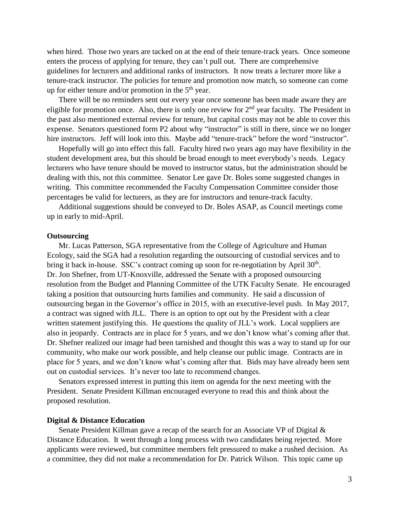when hired. Those two years are tacked on at the end of their tenure-track years. Once someone enters the process of applying for tenure, they can't pull out. There are comprehensive guidelines for lecturers and additional ranks of instructors. It now treats a lecturer more like a tenure-track instructor. The policies for tenure and promotion now match, so someone can come up for either tenure and/or promotion in the  $5<sup>th</sup>$  year.

There will be no reminders sent out every year once someone has been made aware they are eligible for promotion once. Also, there is only one review for  $2<sup>nd</sup>$  year faculty. The President in the past also mentioned external review for tenure, but capital costs may not be able to cover this expense. Senators questioned form P2 about why "instructor" is still in there, since we no longer hire instructors. Jeff will look into this. Maybe add "tenure-track" before the word "instructor".

Hopefully will go into effect this fall. Faculty hired two years ago may have flexibility in the student development area, but this should be broad enough to meet everybody's needs. Legacy lecturers who have tenure should be moved to instructor status, but the administration should be dealing with this, not this committee. Senator Lee gave Dr. Boles some suggested changes in writing. This committee recommended the Faculty Compensation Committee consider those percentages be valid for lecturers, as they are for instructors and tenure-track faculty.

Additional suggestions should be conveyed to Dr. Boles ASAP, as Council meetings come up in early to mid-April.

#### **Outsourcing**

Mr. Lucas Patterson, SGA representative from the College of Agriculture and Human Ecology, said the SGA had a resolution regarding the outsourcing of custodial services and to bring it back in-house. SSC's contract coming up soon for re-negotiation by April 30<sup>th</sup>. Dr. Jon Shefner, from UT-Knoxville, addressed the Senate with a proposed outsourcing resolution from the Budget and Planning Committee of the UTK Faculty Senate. He encouraged taking a position that outsourcing hurts families and community. He said a discussion of outsourcing began in the Governor's office in 2015, with an executive-level push. In May 2017, a contract was signed with JLL. There is an option to opt out by the President with a clear written statement justifying this. He questions the quality of JLL's work. Local suppliers are also in jeopardy. Contracts are in place for 5 years, and we don't know what's coming after that. Dr. Shefner realized our image had been tarnished and thought this was a way to stand up for our community, who make our work possible, and help cleanse our public image. Contracts are in place for 5 years, and we don't know what's coming after that. Bids may have already been sent out on custodial services. It's never too late to recommend changes.

Senators expressed interest in putting this item on agenda for the next meeting with the President. Senate President Killman encouraged everyone to read this and think about the proposed resolution.

### **Digital & Distance Education**

Senate President Killman gave a recap of the search for an Associate VP of Digital & Distance Education. It went through a long process with two candidates being rejected. More applicants were reviewed, but committee members felt pressured to make a rushed decision. As a committee, they did not make a recommendation for Dr. Patrick Wilson. This topic came up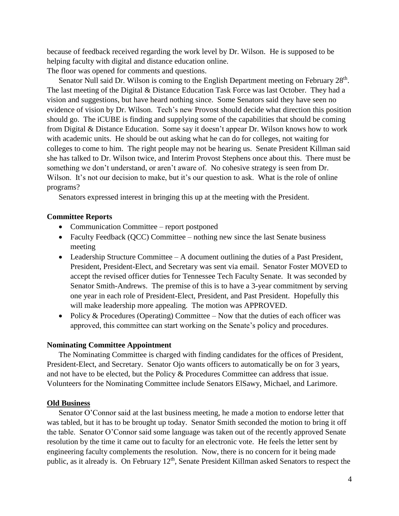because of feedback received regarding the work level by Dr. Wilson. He is supposed to be helping faculty with digital and distance education online. The floor was opened for comments and questions.

Senator Null said Dr. Wilson is coming to the English Department meeting on February 28<sup>th</sup>. The last meeting of the Digital & Distance Education Task Force was last October. They had a vision and suggestions, but have heard nothing since. Some Senators said they have seen no evidence of vision by Dr. Wilson. Tech's new Provost should decide what direction this position should go. The iCUBE is finding and supplying some of the capabilities that should be coming from Digital & Distance Education. Some say it doesn't appear Dr. Wilson knows how to work with academic units. He should be out asking what he can do for colleges, not waiting for colleges to come to him. The right people may not be hearing us. Senate President Killman said she has talked to Dr. Wilson twice, and Interim Provost Stephens once about this. There must be something we don't understand, or aren't aware of. No cohesive strategy is seen from Dr. Wilson. It's not our decision to make, but it's our question to ask. What is the role of online programs?

Senators expressed interest in bringing this up at the meeting with the President.

#### **Committee Reports**

- Communication Committee report postponed
- Faculty Feedback (QCC) Committee nothing new since the last Senate business meeting
- Leadership Structure Committee A document outlining the duties of a Past President, President, President-Elect, and Secretary was sent via email. Senator Foster MOVED to accept the revised officer duties for Tennessee Tech Faculty Senate. It was seconded by Senator Smith-Andrews. The premise of this is to have a 3-year commitment by serving one year in each role of President-Elect, President, and Past President. Hopefully this will make leadership more appealing. The motion was APPROVED.
- Policy & Procedures (Operating) Committee Now that the duties of each officer was approved, this committee can start working on the Senate's policy and procedures.

#### **Nominating Committee Appointment**

The Nominating Committee is charged with finding candidates for the offices of President, President-Elect, and Secretary. Senator Ojo wants officers to automatically be on for 3 years, and not have to be elected, but the Policy & Procedures Committee can address that issue. Volunteers for the Nominating Committee include Senators ElSawy, Michael, and Larimore.

#### **Old Business**

Senator O'Connor said at the last business meeting, he made a motion to endorse letter that was tabled, but it has to be brought up today. Senator Smith seconded the motion to bring it off the table. Senator O'Connor said some language was taken out of the recently approved Senate resolution by the time it came out to faculty for an electronic vote. He feels the letter sent by engineering faculty complements the resolution. Now, there is no concern for it being made public, as it already is. On February 12<sup>th</sup>, Senate President Killman asked Senators to respect the